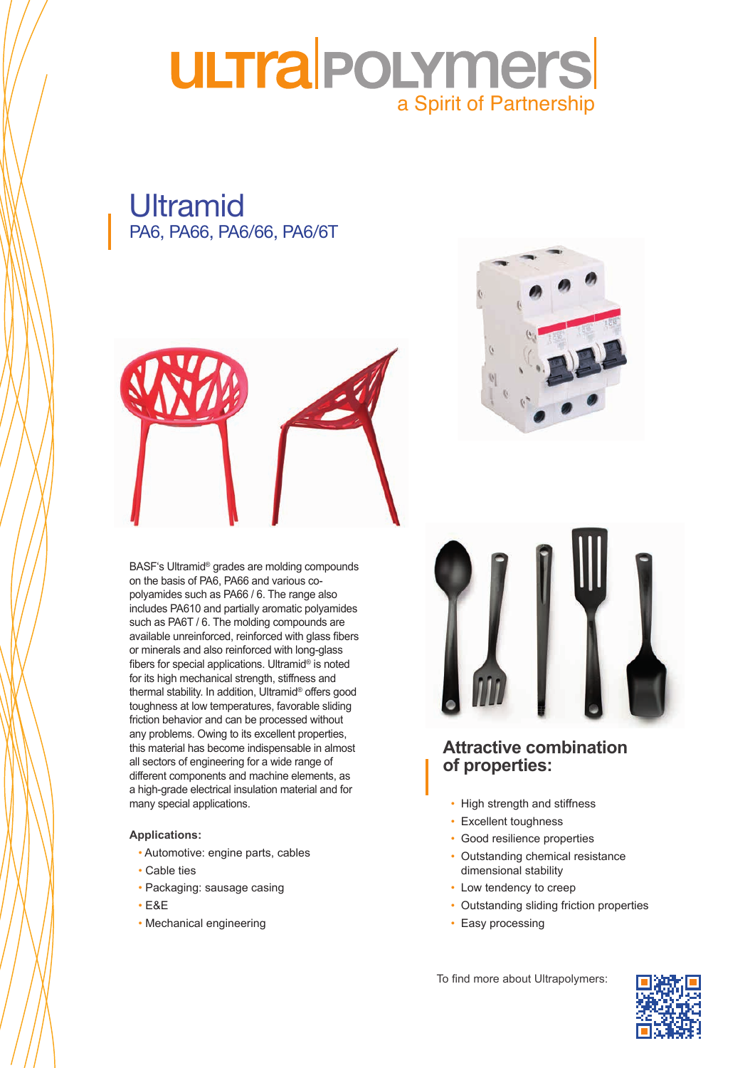## **ULTra POLYmers** a Spirit of PartnershipLustran / Novodur

Ultramid PA6, PA66, PA6/66, PA6/6T



all sectors of engineering for a wide range of different components and machine elements, as a high-grade electrical insulation material and for many special applications. BASF's Ultramid® grades are molding compounds on the basis of PA6, PA66 and various copolyamides such as PA66 / 6. The range also includes PA610 and partially aromatic polyamides such as PA6T / 6. The molding compounds are available unreinforced, reinforced with glass fibers or minerals and also reinforced with long-glass fibers for special applications. Ultramid® is noted for its high mechanical strength, stiffness and thermal stability. In addition, Ultramid® offers good toughness at low temperatures, favorable sliding friction behavior and can be processed without any problems. Owing to its excellent properties, this material has become indispensable in almost

## $\mathsf{Applications:}$

- · ·<br>• Automotive: engine parts, cables
- Cable ties
- Packaging: sausage casing
- many years. E&E
- Mechanical engineering





## **Attractive combination** Improved printability / printing **of properties:**

- High strength and stiffness
- Excellent toughness
- Good resilience properties
- Outstanding chemical resistance dimensional stability
- Low tendency to creep
- Outstanding sliding friction properties
- Easy processing

To find more about Ultrapolymers:  $\Box$ 

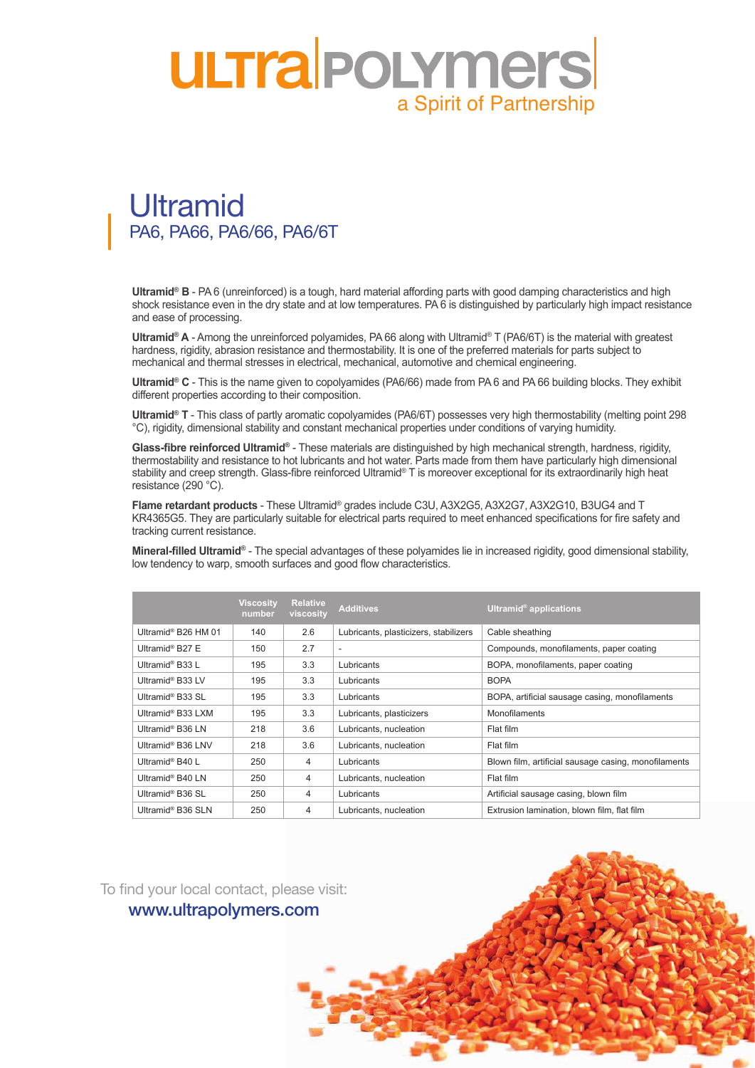## **ULTralPOLYmers** a Spirit of Partnership

## Ultramid PA6, PA66, PA6/66, PA6/6T

**Ultramid® B** - PA 6 (unreinforced) is a tough, hard material affording parts with good damping characteristics and high shock resistance even in the dry state and at low temperatures. PA 6 is distinguished by particularly high impact resistance and ease of processing.

**Ultramid® A** - Among the unreinforced polyamides, PA 66 along with Ultramid® T (PA6/6T) is the material with greatest hardness, rigidity, abrasion resistance and thermostability. It is one of the preferred materials for parts subject to mechanical and thermal stresses in electrical, mechanical, automotive and chemical engineering.

**Ultramid® C** - This is the name given to copolyamides (PA6/66) made from PA 6 and PA 66 building blocks. They exhibit different properties according to their composition.

**Ultramid® T** - This class of partly aromatic copolyamides (PA6/6T) possesses very high thermostability (melting point 298 °C), rigidity, dimensional stability and constant mechanical properties under conditions of varying humidity.

**Glass-fibre reinforced Ultramid®** - These materials are distinguished by high mechanical strength, hardness, rigidity, thermostability and resistance to hot lubricants and hot water. Parts made from them have particularly high dimensional stability and creep strength. Glass-fibre reinforced Ultramid® T is moreover exceptional for its extraordinarily high heat resistance (290 °C).

**Flame retardant products** - These Ultramid® grades include C3U, A3X2G5, A3X2G7, A3X2G10, B3UG4 and T KR4365G5. They are particularly suitable for electrical parts required to meet enhanced specifications for fire safety and tracking current resistance.

**Mineral-filled Ultramid®** - The special advantages of these polyamides lie in increased rigidity, good dimensional stability, low tendency to warp, smooth surfaces and good flow characteristics.

|                               | Viscosity<br>number | <b>Relative</b><br>viscosity | <b>Additives</b>                      | Ultramid <sup>®</sup> applications                   |
|-------------------------------|---------------------|------------------------------|---------------------------------------|------------------------------------------------------|
| Ultramid® B26 HM 01           | 140                 | 2.6                          | Lubricants, plasticizers, stabilizers | Cable sheathing                                      |
| Ultramid® B27 E               | 150                 | 2.7                          | $\overline{\phantom{a}}$              | Compounds, monofilaments, paper coating              |
| Ultramid® B33 L               | 195                 | 3.3                          | Lubricants                            | BOPA, monofilaments, paper coating                   |
| Ultramid <sup>®</sup> B33 LV  | 195                 | 3.3                          | Lubricants                            | <b>BOPA</b>                                          |
| Ultramid <sup>®</sup> B33 SL  | 195                 | 3.3                          | Lubricants                            | BOPA, artificial sausage casing, monofilaments       |
| Ultramid <sup>®</sup> B33 LXM | 195                 | 3.3                          | Lubricants, plasticizers              | Monofilaments                                        |
| Ultramid <sup>®</sup> B36 LN  | 218                 | 3.6                          | Lubricants, nucleation                | Flat film                                            |
| Ultramid® B36 LNV             | 218                 | 3.6                          | Lubricants, nucleation                | Flat film                                            |
| Ultramid <sup>®</sup> B40 L   | 250                 | 4                            | Lubricants                            | Blown film, artificial sausage casing, monofilaments |
| Ultramid <sup>®</sup> B40 LN  | 250                 | 4                            | Lubricants, nucleation                | Flat film                                            |
| Ultramid <sup>®</sup> B36 SL  | 250                 | 4                            | Lubricants                            | Artificial sausage casing, blown film                |
| Ultramid <sup>®</sup> B36 SLN | 250                 | 4                            | Lubricants, nucleation                | Extrusion lamination, blown film, flat film          |

To find your local contact, please visit:

## www.ultrapolymers.com